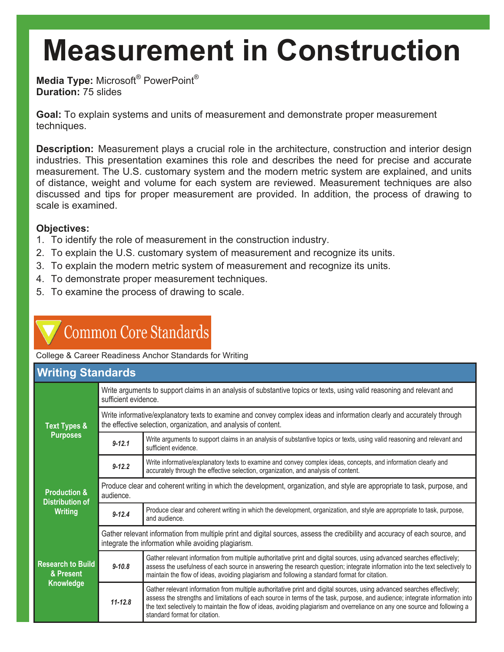**Media Type:** Microsoft® PowerPoint® **Duration:** 75 slides

**Goal:** To explain systems and units of measurement and demonstrate proper measurement techniques.

**Description:** Measurement plays a crucial role in the architecture, construction and interior design industries. This presentation examines this role and describes the need for precise and accurate measurement. The U.S. customary system and the modern metric system are explained, and units of distance, weight and volume for each system are reviewed. Measurement techniques are also discussed and tips for proper measurement are provided. In addition, the process of drawing to scale is examined.

### **Objectives:**

- 1. To identify the role of measurement in the construction industry.
- 2. To explain the U.S. customary system of measurement and recognize its units.
- 3. To explain the modern metric system of measurement and recognize its units.
- 4. To demonstrate proper measurement techniques.
- 5. To examine the process of drawing to scale.

### **Common Core Standards**

College & Career Readiness Anchor Standards for Writing

| <b>Writing Standards</b>                                                                                                  |                                                                                                                                                                                           |                                                                                                                                                                                                                                                                                                                                                                                                                       |  |  |  |
|---------------------------------------------------------------------------------------------------------------------------|-------------------------------------------------------------------------------------------------------------------------------------------------------------------------------------------|-----------------------------------------------------------------------------------------------------------------------------------------------------------------------------------------------------------------------------------------------------------------------------------------------------------------------------------------------------------------------------------------------------------------------|--|--|--|
| <b>Text Types &amp;</b><br><b>Purposes</b>                                                                                | Write arguments to support claims in an analysis of substantive topics or texts, using valid reasoning and relevant and<br>sufficient evidence.                                           |                                                                                                                                                                                                                                                                                                                                                                                                                       |  |  |  |
|                                                                                                                           | Write informative/explanatory texts to examine and convey complex ideas and information clearly and accurately through<br>the effective selection, organization, and analysis of content. |                                                                                                                                                                                                                                                                                                                                                                                                                       |  |  |  |
|                                                                                                                           | $9 - 12.1$                                                                                                                                                                                | Write arguments to support claims in an analysis of substantive topics or texts, using valid reasoning and relevant and<br>sufficient evidence.                                                                                                                                                                                                                                                                       |  |  |  |
|                                                                                                                           | $9 - 12.2$                                                                                                                                                                                | Write informative/explanatory texts to examine and convey complex ideas, concepts, and information clearly and<br>accurately through the effective selection, organization, and analysis of content.                                                                                                                                                                                                                  |  |  |  |
| <b>Production &amp;</b><br><b>Distribution of</b><br><b>Writing</b><br><b>Research to Build</b><br>& Present<br>Knowledge | Produce clear and coherent writing in which the development, organization, and style are appropriate to task, purpose, and<br>audience.                                                   |                                                                                                                                                                                                                                                                                                                                                                                                                       |  |  |  |
|                                                                                                                           | $9 - 12.4$                                                                                                                                                                                | Produce clear and coherent writing in which the development, organization, and style are appropriate to task, purpose,<br>and audience.                                                                                                                                                                                                                                                                               |  |  |  |
|                                                                                                                           | Gather relevant information from multiple print and digital sources, assess the credibility and accuracy of each source, and<br>integrate the information while avoiding plagiarism.      |                                                                                                                                                                                                                                                                                                                                                                                                                       |  |  |  |
|                                                                                                                           | $9 - 10.8$                                                                                                                                                                                | Gather relevant information from multiple authoritative print and digital sources, using advanced searches effectively;<br>assess the usefulness of each source in answering the research question; integrate information into the text selectively to<br>maintain the flow of ideas, avoiding plagiarism and following a standard format for citation.                                                               |  |  |  |
|                                                                                                                           | $11 - 12.8$                                                                                                                                                                               | Gather relevant information from multiple authoritative print and digital sources, using advanced searches effectively;<br>assess the strengths and limitations of each source in terms of the task, purpose, and audience; integrate information into<br>the text selectively to maintain the flow of ideas, avoiding plagiarism and overreliance on any one source and following a<br>standard format for citation. |  |  |  |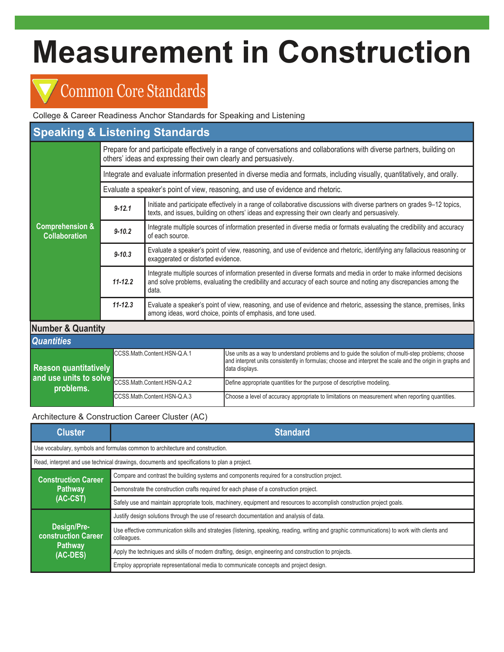### Common Core Standards

College & Career Readiness Anchor Standards for Speaking and Listening

| <b>Speaking &amp; Listening Standards</b>          |                                                                                                                                                                                               |                                                                                                                                                                                                                                                    |                                                                                                                                                                                                                                   |  |  |  |
|----------------------------------------------------|-----------------------------------------------------------------------------------------------------------------------------------------------------------------------------------------------|----------------------------------------------------------------------------------------------------------------------------------------------------------------------------------------------------------------------------------------------------|-----------------------------------------------------------------------------------------------------------------------------------------------------------------------------------------------------------------------------------|--|--|--|
| <b>Comprehension &amp;</b><br><b>Collaboration</b> | Prepare for and participate effectively in a range of conversations and collaborations with diverse partners, building on<br>others' ideas and expressing their own clearly and persuasively. |                                                                                                                                                                                                                                                    |                                                                                                                                                                                                                                   |  |  |  |
|                                                    | Integrate and evaluate information presented in diverse media and formats, including visually, quantitatively, and orally.                                                                    |                                                                                                                                                                                                                                                    |                                                                                                                                                                                                                                   |  |  |  |
|                                                    | Evaluate a speaker's point of view, reasoning, and use of evidence and rhetoric.                                                                                                              |                                                                                                                                                                                                                                                    |                                                                                                                                                                                                                                   |  |  |  |
|                                                    | $9 - 12.1$                                                                                                                                                                                    | Initiate and participate effectively in a range of collaborative discussions with diverse partners on grades 9–12 topics,<br>texts, and issues, building on others' ideas and expressing their own clearly and persuasively.                       |                                                                                                                                                                                                                                   |  |  |  |
|                                                    | $9 - 10.2$                                                                                                                                                                                    | Integrate multiple sources of information presented in diverse media or formats evaluating the credibility and accuracy<br>of each source.                                                                                                         |                                                                                                                                                                                                                                   |  |  |  |
|                                                    | $9 - 10.3$                                                                                                                                                                                    | Evaluate a speaker's point of view, reasoning, and use of evidence and rhetoric, identifying any fallacious reasoning or<br>exaggerated or distorted evidence.                                                                                     |                                                                                                                                                                                                                                   |  |  |  |
|                                                    | $11 - 12.2$                                                                                                                                                                                   | Integrate multiple sources of information presented in diverse formats and media in order to make informed decisions<br>and solve problems, evaluating the credibility and accuracy of each source and noting any discrepancies among the<br>data. |                                                                                                                                                                                                                                   |  |  |  |
|                                                    | $11 - 12.3$                                                                                                                                                                                   | Evaluate a speaker's point of view, reasoning, and use of evidence and rhetoric, assessing the stance, premises, links<br>among ideas, word choice, points of emphasis, and tone used.                                                             |                                                                                                                                                                                                                                   |  |  |  |
| <b>Number &amp; Quantity</b>                       |                                                                                                                                                                                               |                                                                                                                                                                                                                                                    |                                                                                                                                                                                                                                   |  |  |  |
| <b>Quantities</b>                                  |                                                                                                                                                                                               |                                                                                                                                                                                                                                                    |                                                                                                                                                                                                                                   |  |  |  |
| <b>Reason quantitatively</b>                       | CCSS.Math.Content.HSN-Q.A.1                                                                                                                                                                   |                                                                                                                                                                                                                                                    | Use units as a way to understand problems and to guide the solution of multi-step problems; choose<br>and interpret units consistently in formulas; choose and interpret the scale and the origin in graphs and<br>data displays. |  |  |  |
| and use units to solve<br>problems.                | CCSS.Math.Content.HSN-Q.A.2                                                                                                                                                                   |                                                                                                                                                                                                                                                    | Define appropriate quantities for the purpose of descriptive modeling.                                                                                                                                                            |  |  |  |
|                                                    | CCSS.Math.Content.HSN-Q.A.3                                                                                                                                                                   |                                                                                                                                                                                                                                                    | Choose a level of accuracy appropriate to limitations on measurement when reporting quantities.                                                                                                                                   |  |  |  |

### Architecture & Construction Career Cluster (AC)

| <b>Cluster</b>                                                                              | <b>Standard</b>                                                                                                                                              |  |  |  |  |
|---------------------------------------------------------------------------------------------|--------------------------------------------------------------------------------------------------------------------------------------------------------------|--|--|--|--|
| Use vocabulary, symbols and formulas common to architecture and construction.               |                                                                                                                                                              |  |  |  |  |
| Read, interpret and use technical drawings, documents and specifications to plan a project. |                                                                                                                                                              |  |  |  |  |
| <b>Construction Career</b>                                                                  | Compare and contrast the building systems and components required for a construction project.                                                                |  |  |  |  |
| Pathway                                                                                     | Demonstrate the construction crafts required for each phase of a construction project.                                                                       |  |  |  |  |
| $(AC-CST)$                                                                                  | Safely use and maintain appropriate tools, machinery, equipment and resources to accomplish construction project goals.                                      |  |  |  |  |
|                                                                                             | Justify design solutions through the use of research documentation and analysis of data.                                                                     |  |  |  |  |
| Design/Pre-<br><b>construction Career</b>                                                   | Use effective communication skills and strategies (listening, speaking, reading, writing and graphic communications) to work with clients and<br>colleagues. |  |  |  |  |
| Pathway<br>(AC-DES)                                                                         | Apply the techniques and skills of modern drafting, design, engineering and construction to projects.                                                        |  |  |  |  |
|                                                                                             | Employ appropriate representational media to communicate concepts and project design.                                                                        |  |  |  |  |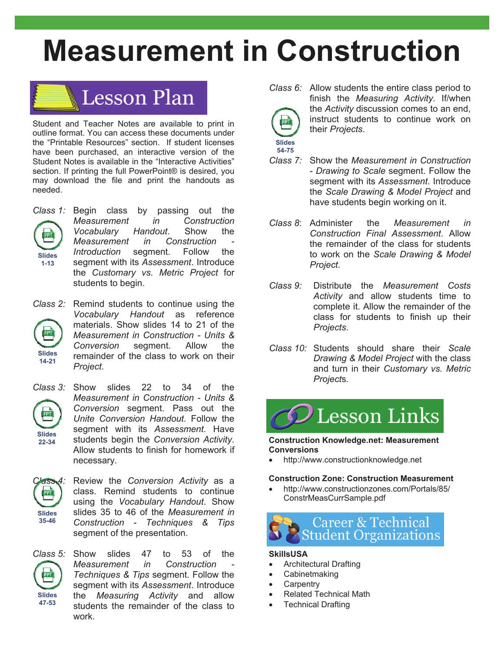

Student and Teacher Notes are available to print in outline format. You can access these documents under the "Printable Resources" section. If student licenses have been purchased, an interactive version of the Student Notes is available in the "Interactive Activities" section. If printing the full PowerPoint® is desired, you may download the file and print the handouts as needed.



*Class 1:* Begin class by passing out the *Measurement in Construction Vocabulary Handout*. Show the *Measurement in Construction Introduction* segment. Follow the segment with its *Assessment*. Introduce the *Customary vs. Metric Project* for students to begin.

*Class 2:* Remind students to continue using the *Vocabulary Handout* as reference materials. Show slides 14 to 21 of the PPT *Measurement in Construction - Units & Conversion* segment. Allow the **Slides**  remainder of the class to work on their **14-21**  *Project*.



*Class 3:* Show slides 22 to 34 of the *Measurement in Construction - Units & Conversion* segment. Pass out the *Unite Conversion Handout.* Follow the segment with its *Assessment*. Have students begin the *Conversion Activity*. Allow students to finish for homework if necessary.



*Class 4:* Review the *Conversion Activity* as a class. Remind students to continue using the *Vocabulary Handout*. Show slides 35 to 46 of the *Measurement in Construction - Techniques & Tips*  segment of the presentation.



*Class 5:* Show slides 47 to 53 of the *Measurement in Construction Techniques & Tips* segment. Follow the segment with its *Assessment*. Introduce the *Measuring Activity* and allow students the remainder of the class to work.



*Class 6:* Allow students the entire class period to finish the *Measuring Activity*. If/when the *Activity* discussion comes to an end, instruct students to continue work on their *Projects*.

- *Class 7:* Show the *Measurement in Construction*  - *Drawing to Scale* segment. Follow the segment with its *Assessment*. Introduce the *Scale Drawing & Model Project* and have students begin working on it.
- *Class 8*: Administer the *Measurement in Construction Final Assessment*. Allow the remainder of the class for students to work on the *Scale Drawing & Model Project*.
- *Class 9:* Distribute the *Measurement Costs Activity* and allow students time to complete it. Allow the remainder of the class for students to finish up their *Projects*.
- *Class 10:* Students should share their *Scale Drawing & Model Project* with the class and turn in their *Customary vs. Metric Project*s.



**Construction Knowledge.net: Measurement Conversions** 

http://www.constructionknowledge.net

### **Construction Zone: Construction Measurement**

 http://www.constructionzones.com/Portals/85/ ConstrMeasCurrSample.pdf



### **SkillsUSA**

- Architectural Drafting
- Cabinetmaking
- **Carpentry**
- Related Technical Math
- Technical Drafting